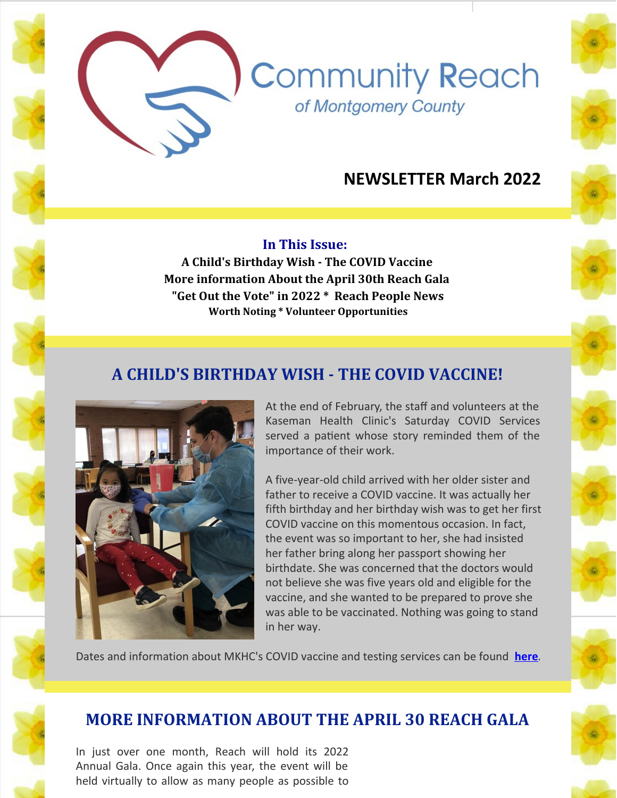# **NEWSLETTER March 2022**

**Community Reach** 

of Montgomery County

#### **In This Issue:**

**A Child's Birthday Wish - The COVID Vaccine More information About the April 30th Reach Gala "Get Out the Vote" in 2022 \* Reach People News Worth Noting \* Volunteer Opportunities**

# **A CHILD'S BIRTHDAY WISH - THE COVID VACCINE!**



At the end of February, the staff and volunteers at the Kaseman Health Clinic's Saturday COVID Services served a patient whose story reminded them of the importance of their work.

A five-year-old child arrived with her older sister and father to receive a COVID vaccine. It was actually her fifth birthday and her birthday wish was to get her first COVID vaccine on this momentous occasion. In fact, the event was so important to her, she had insisted her father bring along her passport showing her birthdate. She was concerned that the doctors would not believe she was five years old and eligible for the vaccine, and she wanted to be prepared to prove she was able to be vaccinated. Nothing was going to stand in her way.

Dates and information about MKHC's COVID vaccine and testing services can be found **[here](https://www.cmrocks.org/mkhc)**.

## **MORE INFORMATION ABOUT THE APRIL 30 REACH GALA**

In just over one month, Reach will hold its 2022 Annual Gala. Once again this year, the event will be held virtually to allow as many people as possible to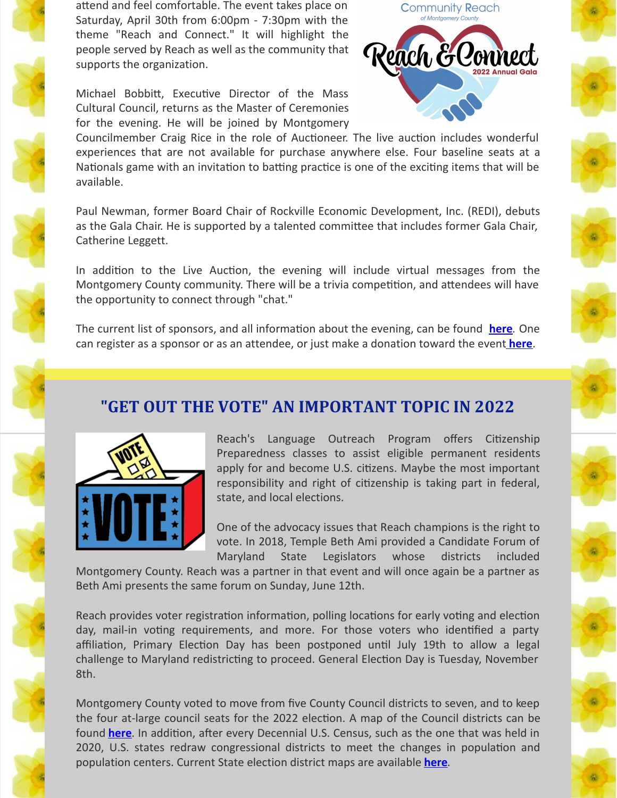attend and feel comfortable. The event takes place on Saturday, April 30th from 6:00pm - 7:30pm with the theme "Reach and Connect." It will highlight the people served by Reach as well as the community that supports the organization.

Michael Bobbitt, Executive Director of the Mass Cultural Council, returns as the Master of Ceremonies for the evening. He will be joined by Montgomery



Councilmember Craig Rice in the role of Auctioneer. The live auction includes wonderful experiences that are not available for purchase anywhere else. Four baseline seats at a Nationals game with an invitation to batting practice is one of the exciting items that will be available.

Paul Newman, former Board Chair of Rockville Economic Development, Inc. (REDI), debuts as the Gala Chair. He is supported by a talented committee that includes former Gala Chair, Catherine Leggett.

In addition to the Live Auction, the evening will include virtual messages from the Montgomery County community. There will be a trivia competition, and attendees will have the opportunity to connect through "chat."

The current list of sponsors, and all information about the evening, can be found **[here](https://www.cmrocks.org/events)**. One can register as a sponsor or as an attendee, or just make a donation toward the event **[here](https://www.eventbrite.com/e/2022-reach-annual-gala-reach-connect-registration-277720307917?aff=ebdssbdestsearch)**.

## **"GET OUT THE VOTE" AN IMPORTANT TOPIC IN 2022**



Reach's Language Outreach Program offers Citizenship Preparedness classes to assist eligible permanent residents apply for and become U.S. citizens. Maybe the most important responsibility and right of citizenship is taking part in federal, state, and local elections.

One of the advocacy issues that Reach champions is the right to vote. In 2018, Temple Beth Ami provided a Candidate Forum of Maryland State Legislators whose districts included

Montgomery County. Reach was a partner in that event and will once again be a partner as Beth Ami presents the same forum on Sunday, June 12th.

Reach provides voter registration information, polling locations for early voting and election day, mail-in voting requirements, and more. For those voters who identified a party affiliation, Primary Election Day has been postponed until July 19th to allow a legal challenge to Maryland redistricting to proceed. General Election Day is Tuesday, November 8th.

Montgomery County voted to move from five County Council districts to seven, and to keep the four at-large council seats for the 2022 election. A map of the Council districts can be found **[here](https://www.montgomerycountymd.gov/COUNCIL/BCC/redistricting/index.html)**. In addition, after every Decennial U.S. Census, such as the one that was held in 2020, U.S. states redraw congressional districts to meet the changes in population and population centers. Current State election district maps are available **[here](https://msa.maryland.gov/msa/mdmanual/01glance/maps/html/election.html)**.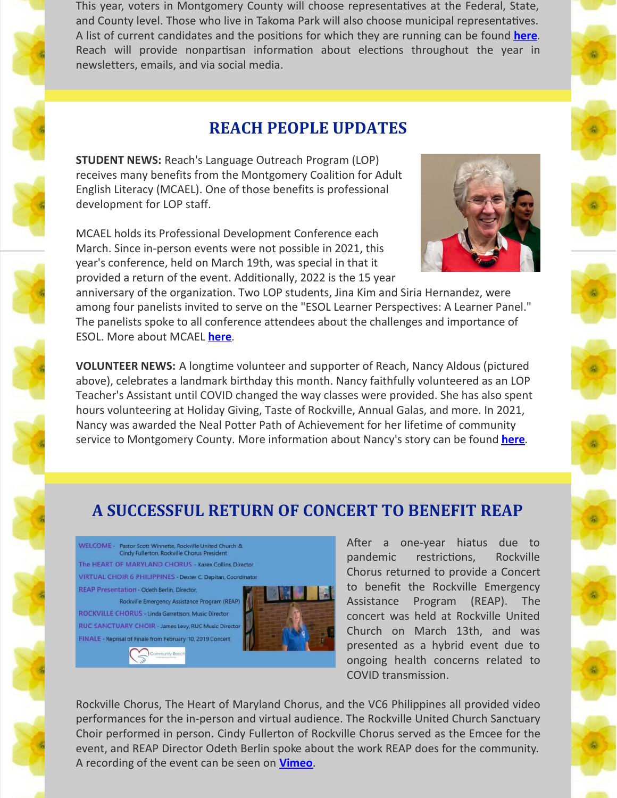This year, voters in Montgomery County will choose representatives at the Federal, State, and County level. Those who live in Takoma Park will also choose municipal representatives. A list of current candidates and the positions for which they are running can be found **[here](https://www.lwvmocomd.org/next_elections)**. Reach will provide nonpartisan information about elections throughout the year in newsletters, emails, and via social media.

## **REACH PEOPLE UPDATES**

**STUDENT NEWS:** Reach's Language Outreach Program (LOP) receives many benefits from the Montgomery Coalition for Adult English Literacy (MCAEL). One of those benefits is professional development for LOP staff.

MCAEL holds its Professional Development Conference each March. Since in-person events were not possible in 2021, this year's conference, held on March 19th, was special in that it provided a return of the event. Additionally, 2022 is the 15 year

anniversary of the organization. Two LOP students, Jina Kim and Siria Hernandez, were among four panelists invited to serve on the "ESOL Learner Perspectives: A Learner Panel." The panelists spoke to all conference attendees about the challenges and importance of ESOL. More about MCAEL **[here](https://www.mcael.org/)**.

**VOLUNTEER NEWS:** A longtime volunteer and supporter of Reach, Nancy Aldous (pictured above), celebrates a landmark birthday this month. Nancy faithfully volunteered as an LOP Teacher's Assistant until COVID changed the way classes were provided. She has also spent hours volunteering at Holiday Giving, Taste of Rockville, Annual Galas, and more. In 2021, Nancy was awarded the Neal Potter Path of Achievement for her lifetime of community service to Montgomery County. More information about Nancy's story can be found **[here](https://www.montgomerycountymd.gov/volunteercenter/awards/NealPotterPathofAchievementAward.html)**.

# **A SUCCESSFUL RETURN OF CONCERT TO BENEFIT REAP**

WELCOME - Pastor Scott Winnette, Rockville United Church &<br>Cindy Fullerton, Rockville Chorus President The HEART OF MARYLAND CHORUS - Karen Collins, Director **VIRTUAL CHOIR 6 PHILIPPINES - Dexter C. Dapitan, Coordinator REAP Presentation - Odeth Berlin, Director,** Rockville Emergency Assistance Program (REAP) ROCKVILLE CHORUS - Linda Garrettson, Music Director RUC SANCTUARY CHOIR - James Levy, RUC Music Director

FINALE - Reprisal of Finale from February 10, 2019 Concert



After a one-year hiatus due to pandemic restrictions, Rockville Chorus returned to provide a Concert to benefit the Rockville Emergency Assistance Program (REAP). The concert was held at Rockville United Church on March 13th, and was presented as a hybrid event due to ongoing health concerns related to COVID transmission.

Rockville Chorus, The Heart of Maryland Chorus, and the VC6 Philippines all provided video performances for the in-person and virtual audience. The Rockville United Church Sanctuary Choir performed in person. Cindy Fullerton of Rockville Chorus served as the Emcee for the event, and REAP Director Odeth Berlin spoke about the work REAP does for the community. A recording of the event can be seen on **[Vimeo](https://vimeo.com/689687823)**.







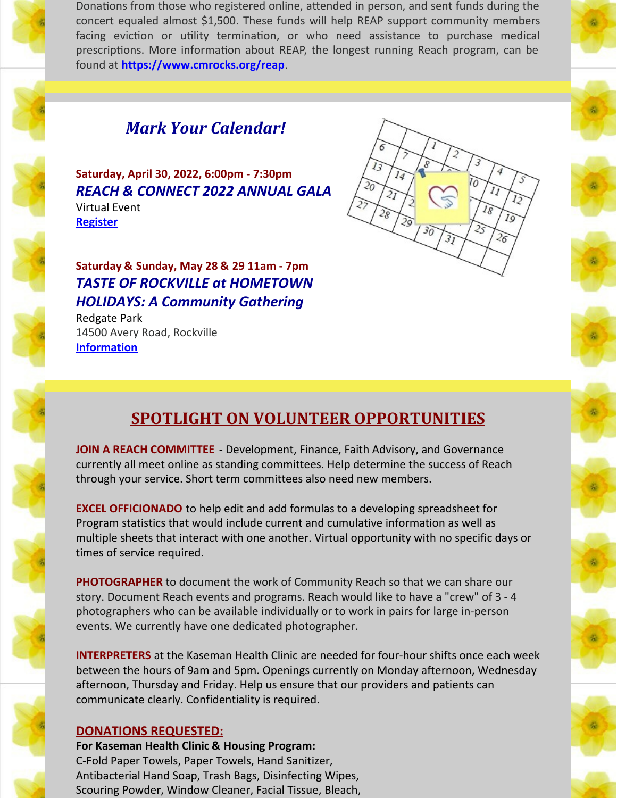

Donations from those who registered online, attended in person, and sent funds during the concert equaled almost \$1,500. These funds will help REAP support community members facing eviction or utility termination, or who need assistance to purchase medical prescriptions. More information about REAP, the longest running Reach program, can be found at **<https://www.cmrocks.org/reap>**.



**Saturday, April 30, 2022, 6:00pm - 7:30pm** *REACH & CONNECT 2022 ANNUAL GALA* Virtual Event **[Register](https://www.eventbrite.com/e/2022-reach-annual-gala-reach-connect-registration-277720307917?aff=ebdssbdestsearch)**

**Saturday & Sunday, May 28 & 29 11am - 7pm** *TASTE OF ROCKVILLE at HOMETOWN HOLIDAYS: A Community Gathering*

Redgate Park 14500 Avery Road, Rockville **[Information](https://www.rockvillemd.gov/665/Hometown-Holidays)**

# **SPOTLIGHT ON VOLUNTEER OPPORTUNITIES**

**JOIN A REACH COMMITTEE** - Development, Finance, Faith Advisory, and Governance currently all meet online as standing committees. Help determine the success of Reach through your service. Short term committees also need new members.

**EXCEL OFFICIONADO** to help edit and add formulas to a developing spreadsheet for Program statistics that would include current and cumulative information as well as multiple sheets that interact with one another. Virtual opportunity with no specific days or times of service required.

**PHOTOGRAPHER** to document the work of Community Reach so that we can share our story. Document Reach events and programs. Reach would like to have a "crew" of 3 - 4 photographers who can be available individually or to work in pairs for large in-person events. We currently have one dedicated photographer.

**INTERPRETERS** at the Kaseman Health Clinic are needed for four-hour shifts once each week between the hours of 9am and 5pm. Openings currently on Monday afternoon, Wednesday afternoon, Thursday and Friday. Help us ensure that our providers and patients can communicate clearly. Confidentiality is required.

#### **DONATIONS REQUESTED:**

**For Kaseman Health Clinic & Housing Program:** C-Fold Paper Towels, Paper Towels, Hand Sanitizer, Antibacterial Hand Soap, Trash Bags, Disinfecting Wipes, Scouring Powder, Window Cleaner, Facial Tissue, Bleach,